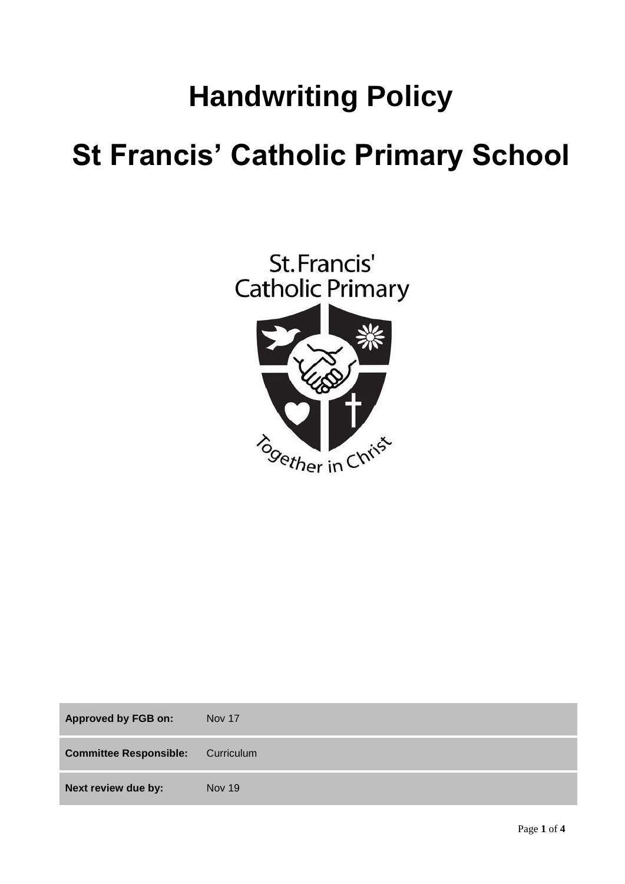# **Handwriting Policy**

## **St Francis' Catholic Primary School**



| <b>Approved by FGB on:</b>    | <b>Nov 17</b> |
|-------------------------------|---------------|
| <b>Committee Responsible:</b> | Curriculum    |
| Next review due by:           | Nov 19        |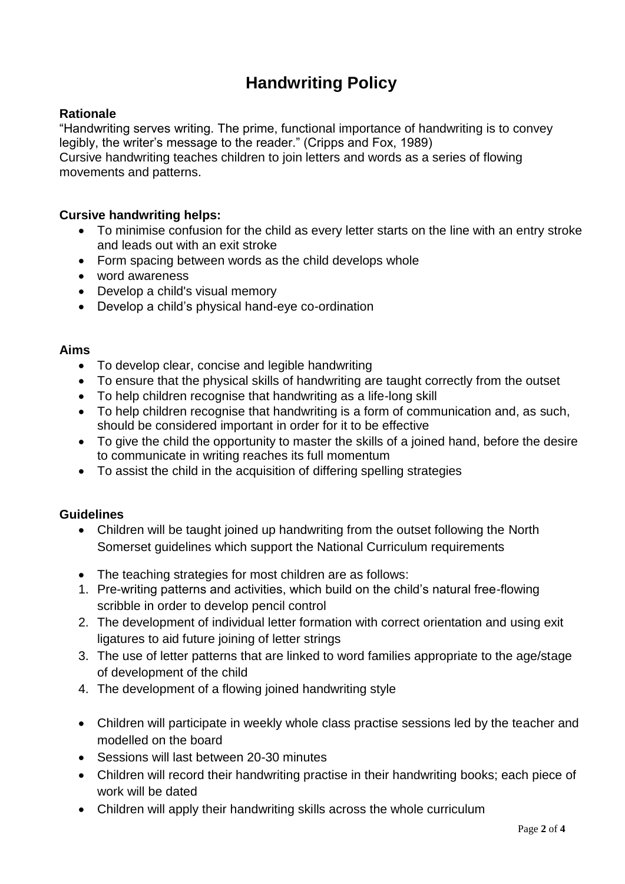### **Handwriting Policy**

#### **Rationale**

"Handwriting serves writing. The prime, functional importance of handwriting is to convey legibly, the writer's message to the reader." (Cripps and Fox, 1989) Cursive handwriting teaches children to join letters and words as a series of flowing movements and patterns.

#### **Cursive handwriting helps:**

- To minimise confusion for the child as every letter starts on the line with an entry stroke and leads out with an exit stroke
- Form spacing between words as the child develops whole
- word awareness
- Develop a child's visual memory
- Develop a child's physical hand-eye co-ordination

#### **Aims**

- To develop clear, concise and legible handwriting
- To ensure that the physical skills of handwriting are taught correctly from the outset
- To help children recognise that handwriting as a life-long skill
- To help children recognise that handwriting is a form of communication and, as such, should be considered important in order for it to be effective
- To give the child the opportunity to master the skills of a joined hand, before the desire to communicate in writing reaches its full momentum
- To assist the child in the acquisition of differing spelling strategies

#### **Guidelines**

- Children will be taught joined up handwriting from the outset following the North Somerset guidelines which support the National Curriculum requirements
- The teaching strategies for most children are as follows:
- 1. Pre-writing patterns and activities, which build on the child's natural free-flowing scribble in order to develop pencil control
- 2. The development of individual letter formation with correct orientation and using exit ligatures to aid future joining of letter strings
- 3. The use of letter patterns that are linked to word families appropriate to the age/stage of development of the child
- 4. The development of a flowing joined handwriting style
- Children will participate in weekly whole class practise sessions led by the teacher and modelled on the board
- Sessions will last between 20-30 minutes
- Children will record their handwriting practise in their handwriting books; each piece of work will be dated
- Children will apply their handwriting skills across the whole curriculum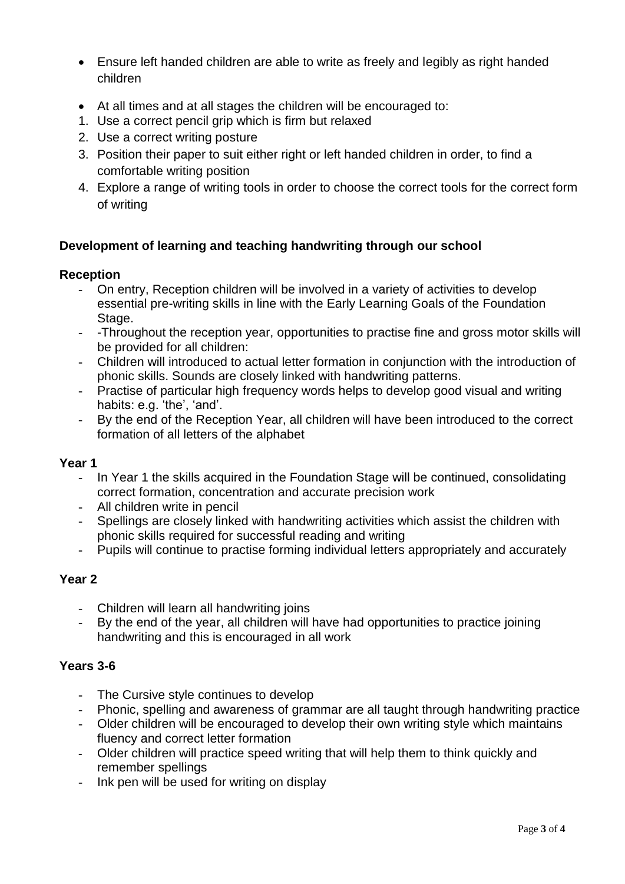- Ensure left handed children are able to write as freely and legibly as right handed children
- At all times and at all stages the children will be encouraged to:
- 1. Use a correct pencil grip which is firm but relaxed
- 2. Use a correct writing posture
- 3. Position their paper to suit either right or left handed children in order, to find a comfortable writing position
- 4. Explore a range of writing tools in order to choose the correct tools for the correct form of writing

#### **Development of learning and teaching handwriting through our school**

#### **Reception**

- On entry, Reception children will be involved in a variety of activities to develop essential pre-writing skills in line with the Early Learning Goals of the Foundation Stage.
- -Throughout the reception year, opportunities to practise fine and gross motor skills will be provided for all children:
- Children will introduced to actual letter formation in conjunction with the introduction of phonic skills. Sounds are closely linked with handwriting patterns.
- Practise of particular high frequency words helps to develop good visual and writing habits: e.g. 'the', 'and'.
- By the end of the Reception Year, all children will have been introduced to the correct formation of all letters of the alphabet

#### **Year 1**

- In Year 1 the skills acquired in the Foundation Stage will be continued, consolidating correct formation, concentration and accurate precision work
- All children write in pencil
- Spellings are closely linked with handwriting activities which assist the children with phonic skills required for successful reading and writing
- Pupils will continue to practise forming individual letters appropriately and accurately

#### **Year 2**

- Children will learn all handwriting joins
- By the end of the year, all children will have had opportunities to practice joining handwriting and this is encouraged in all work

#### **Years 3-6**

- The Cursive style continues to develop
- Phonic, spelling and awareness of grammar are all taught through handwriting practice
- Older children will be encouraged to develop their own writing style which maintains fluency and correct letter formation
- Older children will practice speed writing that will help them to think quickly and remember spellings
- Ink pen will be used for writing on display